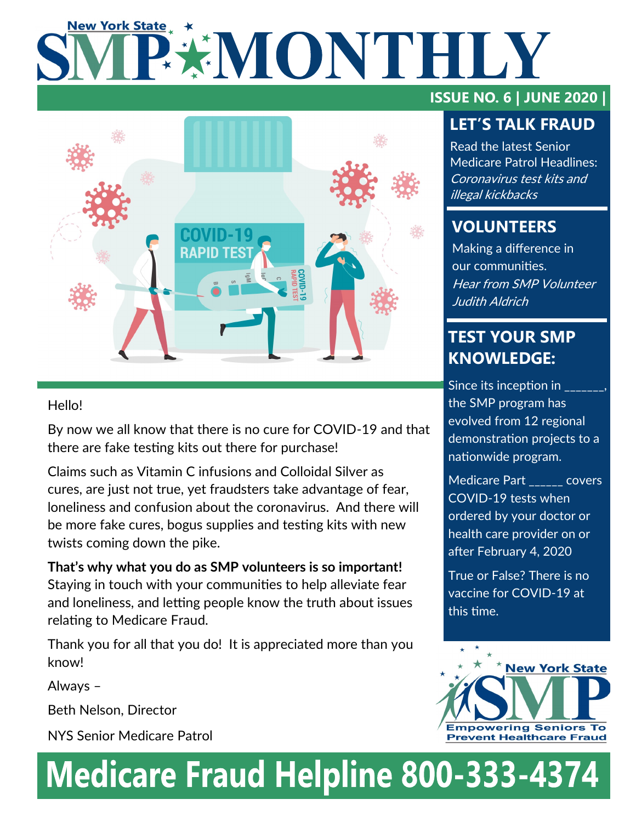# **New York State** PENONTHILY



### Hello!

By now we all know that there is no cure for COVID-19 and that there are fake testing kits out there for purchase!

Claims such as Vitamin C infusions and Colloidal Silver as cures, are just not true, yet fraudsters take advantage of fear, loneliness and confusion about the coronavirus. And there will be more fake cures, bogus supplies and testing kits with new twists coming down the pike.

**That's why what you do as SMP volunteers is so important!** Staying in touch with your communities to help alleviate fear and loneliness, and letting people know the truth about issues relating to Medicare Fraud.

Thank you for all that you do! It is appreciated more than you know!

Always –

Beth Nelson, Director

NYS Senior Medicare Patrol

# **ISSUE NO. 6 | JUNE 2020 |**

## **LET'S TALK FRAUD**

Read the latest Senior Medicare Patrol Headlines: Coronavirus test kits and illegal kickbacks

# **VOLUNTEERS**

Making a difference in our communities. Hear from SMP Volunteer Judith Aldrich

## **TEST YOUR SMP KNOWLEDGE:**

Since its inception in the SMP program has evolved from 12 regional demonstration projects to a nationwide program.

Medicare Part \_\_\_\_\_ covers COVID-19 tests when ordered by your doctor or health care provider on or after February 4, 2020

True or False? There is no vaccine for COVID-19 at this time.



# **Medicare Fraud Helpline 800-333-4374**